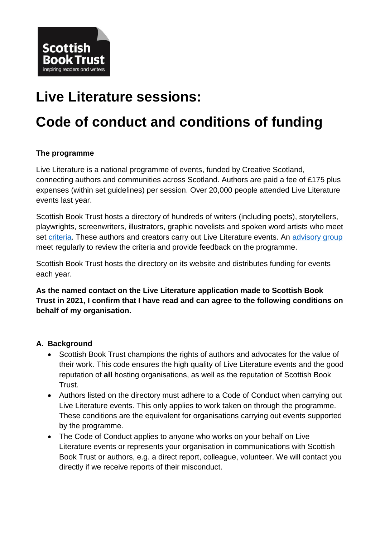

# **Live Literature sessions:**

# **Code of conduct and conditions of funding**

# **The programme**

Live Literature is a national programme of events, funded by Creative Scotland, connecting authors and communities across Scotland. Authors are paid a fee of £175 plus expenses (within set guidelines) per session. Over 20,000 people attended Live Literature events last year.

Scottish Book Trust hosts a directory of hundreds of writers (including poets), storytellers, playwrights, screenwriters, illustrators, graphic novelists and spoken word artists who meet set [criteria.](http://scottishbooktrust.com/writing/opportunities-for-writers/how-to-register-for-the-live-literature-database) These authors and creators carry out Live Literature events. An [advisory group](http://scottishbooktrust.com/writing/opportunities-for-writers/live-literature/advisory-group) meet regularly to review the criteria and provide feedback on the programme.

Scottish Book Trust hosts the directory on its website and distributes funding for events each year.

**As the named contact on the Live Literature application made to Scottish Book Trust in 2021, I confirm that I have read and can agree to the following conditions on behalf of my organisation.** 

#### **A. Background**

- Scottish Book Trust champions the rights of authors and advocates for the value of their work. This code ensures the high quality of Live Literature events and the good reputation of **all** hosting organisations, as well as the reputation of Scottish Book Trust.
- Authors listed on the directory must adhere to a Code of Conduct when carrying out Live Literature events. This only applies to work taken on through the programme. These conditions are the equivalent for organisations carrying out events supported by the programme.
- The Code of Conduct applies to anyone who works on your behalf on Live Literature events or represents your organisation in communications with Scottish Book Trust or authors, e.g. a direct report, colleague, volunteer. We will contact you directly if we receive reports of their misconduct.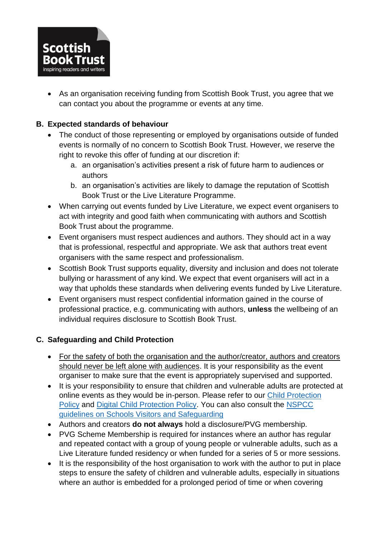

 As an organisation receiving funding from Scottish Book Trust, you agree that we can contact you about the programme or events at any time.

## **B. Expected standards of behaviour**

- The conduct of those representing or employed by organisations outside of funded events is normally of no concern to Scottish Book Trust. However, we reserve the right to revoke this offer of funding at our discretion if:
	- a. an organisation's activities present a risk of future harm to audiences or authors
	- b. an organisation's activities are likely to damage the reputation of Scottish Book Trust or the Live Literature Programme.
- When carrying out events funded by Live Literature, we expect event organisers to act with integrity and good faith when communicating with authors and Scottish Book Trust about the programme.
- Event organisers must respect audiences and authors. They should act in a way that is professional, respectful and appropriate. We ask that authors treat event organisers with the same respect and professionalism.
- Scottish Book Trust supports equality, diversity and inclusion and does not tolerate bullying or harassment of any kind. We expect that event organisers will act in a way that upholds these standards when delivering events funded by Live Literature.
- Event organisers must respect confidential information gained in the course of professional practice, e.g. communicating with authors, **unless** the wellbeing of an individual requires disclosure to Scottish Book Trust.

#### **C. Safeguarding and Child Protection**

- For the safety of both the organisation and the author/creator, authors and creators should never be left alone with audiences. It is your responsibility as the event organiser to make sure that the event is appropriately supervised and supported.
- It is your responsibility to ensure that children and vulnerable adults are protected at online events as they would be in-person. Please refer to our [Child Protection](https://www.scottishbooktrust.com/about/policies/child-protection-policy)  [Policy](https://www.scottishbooktrust.com/about/policies/child-protection-policy) and [Digital Child Protection Policy.](https://www.scottishbooktrust.com/about/policies/child-protection-policy-digital) You can also consult the [NSPCC](https://learning.nspcc.org.uk/safeguarding-child-protection-schools/school-visitors)  [guidelines on Schools Visitors and Safeguarding](https://learning.nspcc.org.uk/safeguarding-child-protection-schools/school-visitors)
- Authors and creators **do not always** hold a disclosure/PVG membership.
- PVG Scheme Membership is required for instances where an author has regular and repeated contact with a group of young people or vulnerable adults, such as a Live Literature funded residency or when funded for a series of 5 or more sessions.
- It is the responsibility of the host organisation to work with the author to put in place steps to ensure the safety of children and vulnerable adults, especially in situations where an author is embedded for a prolonged period of time or when covering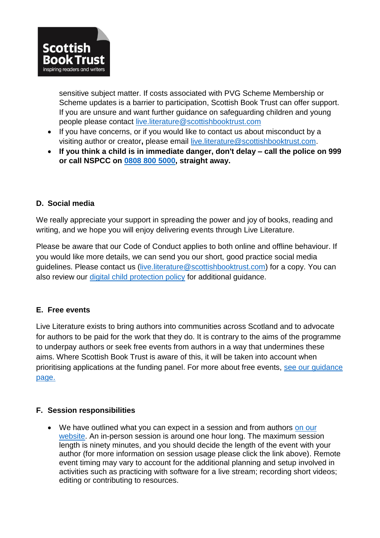

sensitive subject matter. If costs associated with PVG Scheme Membership or Scheme updates is a barrier to participation, Scottish Book Trust can offer support. If you are unsure and want further guidance on safeguarding children and young people please contact [live.literature@scottishbooktrust.com](mailto:live.literature@scottishbooktrust.com)

- If you have concerns, or if you would like to contact us about misconduct by a visiting author or creator**,** please email [live.literature@scottishbooktrust.com.](mailto:kay.bohan@scottishbooktrust.com)
- **If you think a child is in immediate danger, don't delay – call the police on 999 or call NSPCC on 0808 800 [5000,](tel:0808%20800%205000) straight away.**

#### **D. Social media**

We really appreciate your support in spreading the power and joy of books, reading and writing, and we hope you will enjoy delivering events through Live Literature.

Please be aware that our Code of Conduct applies to both online and offline behaviour. If you would like more details, we can send you our short, good practice social media guidelines. Please contact us [\(live.literature@scottishbooktrust.com\)](mailto:live.literature@scottishbooktrust.com) for a copy. You can also review our [digital child protection policy](https://www.scottishbooktrust.com/about/policies/child-protection-policy-digital) for additional guidance.

# **E. Free events**

Live Literature exists to bring authors into communities across Scotland and to advocate for authors to be paid for the work that they do. It is contrary to the aims of the programme to underpay authors or seek free events from authors in a way that undermines these aims. Where Scottish Book Trust is aware of this, it will be taken into account when prioritising applications at the funding panel. For more about free events, [see our guidance](https://www.scottishbooktrust.com/writing-and-authors/author-fees-and-free-events)  [page.](https://www.scottishbooktrust.com/writing-and-authors/author-fees-and-free-events)

#### **F. Session responsibilities**

• We have outlined what you can expect in a session and from authors on our [website.](https://www.scottishbooktrust.com/writing-and-authors/live-literature/planning-a-live-literature-session) An in-person session is around one hour long. The maximum session length is ninety minutes, and you should decide the length of the event with your author (for more information on session usage please click the link above). Remote event timing may vary to account for the additional planning and setup involved in activities such as practicing with software for a live stream; recording short videos; editing or contributing to resources.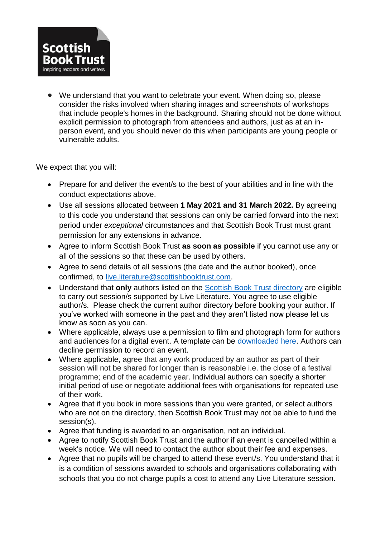

 We understand that you want to celebrate your event. When doing so, please consider the risks involved when sharing images and screenshots of workshops that include people's homes in the background. Sharing should not be done without explicit permission to photograph from attendees and authors, just as at an inperson event, and you should never do this when participants are young people or vulnerable adults.

We expect that you will:

- Prepare for and deliver the event/s to the best of your abilities and in line with the conduct expectations above.
- Use all sessions allocated between **1 May 2021 and 31 March 2022.** By agreeing to this code you understand that sessions can only be carried forward into the next period under *exceptional* circumstances and that Scottish Book Trust must grant permission for any extensions in advance.
- Agree to inform Scottish Book Trust **as soon as possible** if you cannot use any or all of the sessions so that these can be used by others.
- Agree to send details of all sessions (the date and the author booked), once confirmed, to [live.literature@scottishbooktrust.com.](mailto:live.literature@scottishbooktrust.com)
- Understand that **only** authors listed on the [Scottish Book Trust](https://www.scottishbooktrust.com/authors) directory are eligible to carry out session/s supported by Live Literature. You agree to use eligible author/s. Please check the current author directory before booking your author. If you've worked with someone in the past and they aren't listed now please let us know as soon as you can.
- Where applicable, always use a permission to film and photograph form for authors and audiences for a digital event. A template can be [downloaded here.](https://www.scottishbooktrust.com/writing-and-authors/live-literature/expenses-information) Authors can decline permission to record an event.
- Where applicable, agree that any work produced by an author as part of their session will not be shared for longer than is reasonable i.e. the close of a festival programme; end of the academic year. Individual authors can specify a shorter initial period of use or negotiate additional fees with organisations for repeated use of their work.
- Agree that if you book in more sessions than you were granted, or select authors who are not on the directory, then Scottish Book Trust may not be able to fund the session(s).
- Agree that funding is awarded to an organisation, not an individual.
- Agree to notify Scottish Book Trust and the author if an event is cancelled within a week's notice. We will need to contact the author about their fee and expenses.
- Agree that no pupils will be charged to attend these event/s. You understand that it is a condition of sessions awarded to schools and organisations collaborating with schools that you do not charge pupils a cost to attend any Live Literature session.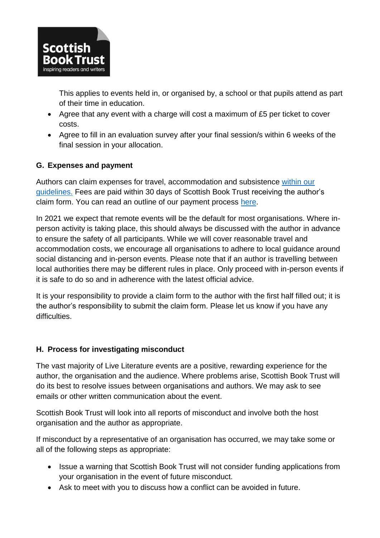

This applies to events held in, or organised by, a school or that pupils attend as part of their time in education.

- Agree that any event with a charge will cost a maximum of £5 per ticket to cover costs.
- Agree to fill in an evaluation survey after your final session/s within 6 weeks of the final session in your allocation.

# **G. Expenses and payment**

Authors can claim expenses for travel, accommodation and subsistence [within our](http://www.scottishbooktrust.com/writing/opportunities-for-writers/live-literature-information-for-authors/getting-there-travel-expenses)  [guidelines.](http://www.scottishbooktrust.com/writing/opportunities-for-writers/live-literature-information-for-authors/getting-there-travel-expenses) Fees are paid within 30 days of Scottish Book Trust receiving the author's claim form. You can read an outline of our payment process [here.](https://www.scottishbooktrust.com/writing-and-authors/live-literature/expenses-information)

In 2021 we expect that remote events will be the default for most organisations. Where inperson activity is taking place, this should always be discussed with the author in advance to ensure the safety of all participants. While we will cover reasonable travel and accommodation costs, we encourage all organisations to adhere to local guidance around social distancing and in-person events. Please note that if an author is travelling between local authorities there may be different rules in place. Only proceed with in-person events if it is safe to do so and in adherence with the latest official advice.

It is your responsibility to provide a claim form to the author with the first half filled out; it is the author's responsibility to submit the claim form. Please let us know if you have any difficulties.

#### **H. Process for investigating misconduct**

The vast majority of Live Literature events are a positive, rewarding experience for the author, the organisation and the audience. Where problems arise, Scottish Book Trust will do its best to resolve issues between organisations and authors. We may ask to see emails or other written communication about the event.

Scottish Book Trust will look into all reports of misconduct and involve both the host organisation and the author as appropriate.

If misconduct by a representative of an organisation has occurred, we may take some or all of the following steps as appropriate:

- Issue a warning that Scottish Book Trust will not consider funding applications from your organisation in the event of future misconduct.
- Ask to meet with you to discuss how a conflict can be avoided in future.